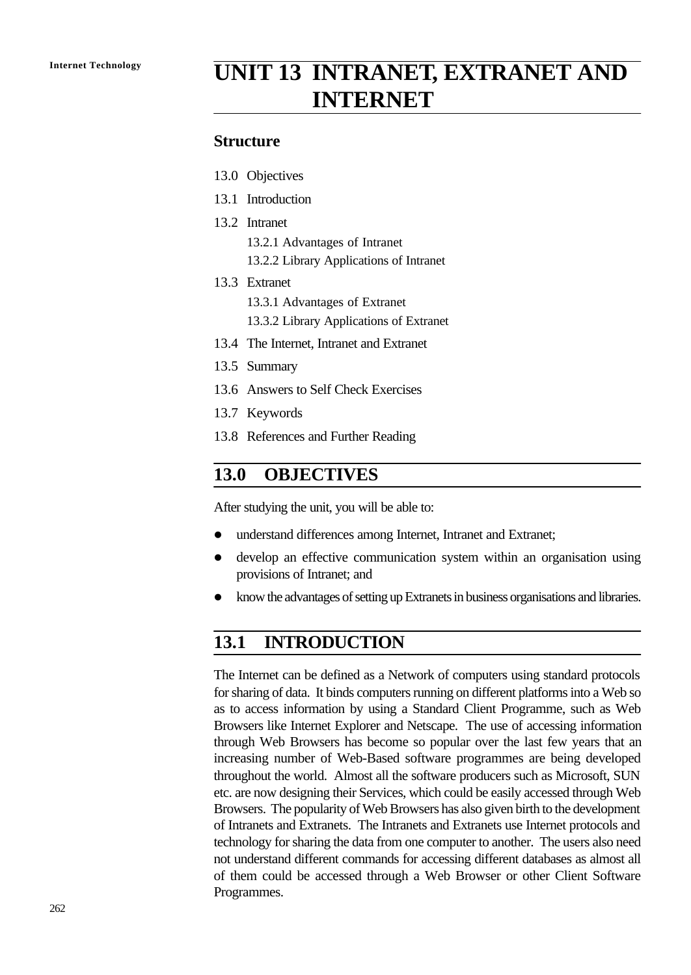# **Internet Technology UNIT 13 INTRANET, EXTRANET AND INTERNET**

#### **Structure**

- 13.0 Objectives
- 13.1 Introduction
- 13.2 Intranet
	- 13.2.1 Advantages of Intranet
	- 13.2.2 Library Applications of Intranet
- 13.3 Extranet
	- 13.3.1 Advantages of Extranet
	- 13.3.2 Library Applications of Extranet
- 13.4 The Internet, Intranet and Extranet
- 13.5 Summary
- 13.6 Answers to Self Check Exercises
- 13.7 Keywords
- 13.8 References and Further Reading

#### **13.0 OBJECTIVES**

After studying the unit, you will be able to:

- l understand differences among Internet, Intranet and Extranet;
- develop an effective communication system within an organisation using provisions of Intranet; and
- l know the advantages of setting up Extranets in business organisations and libraries.

#### **13.1 INTRODUCTION**

The Internet can be defined as a Network of computers using standard protocols for sharing of data. It binds computers running on different platforms into a Web so as to access information by using a Standard Client Programme, such as Web Browsers like Internet Explorer and Netscape. The use of accessing information through Web Browsers has become so popular over the last few years that an increasing number of Web-Based software programmes are being developed throughout the world. Almost all the software producers such as Microsoft, SUN etc. are now designing their Services, which could be easily accessed through Web Browsers. The popularity of Web Browsers has also given birth to the development of Intranets and Extranets. The Intranets and Extranets use Internet protocols and technology for sharing the data from one computer to another. The users also need not understand different commands for accessing different databases as almost all of them could be accessed through a Web Browser or other Client Software Programmes.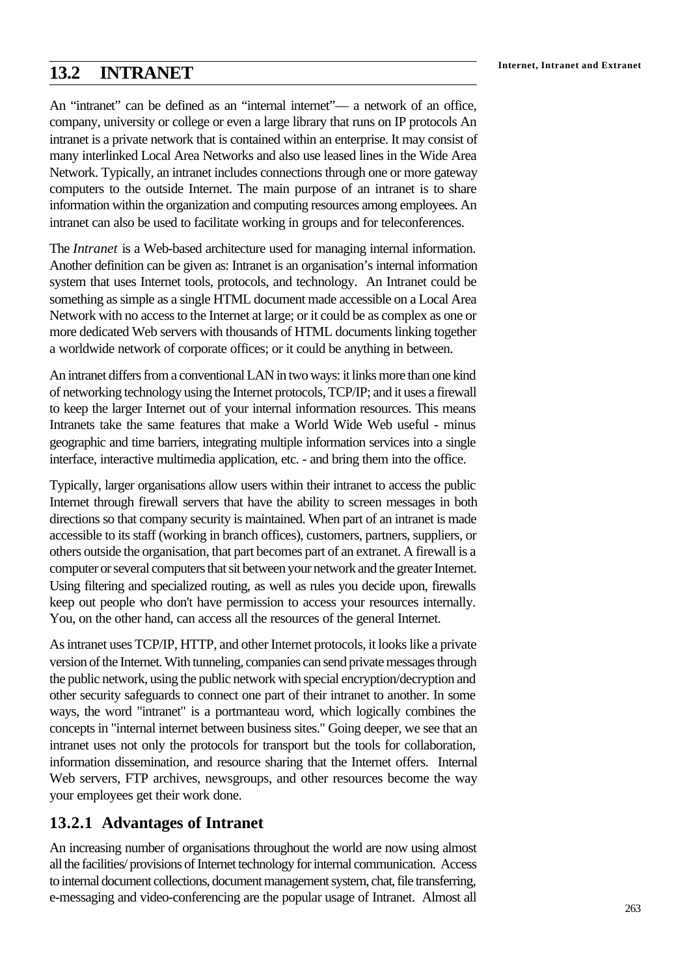## **Internet, Intranet and Extranet 13.2 INTRANET**

An "intranet" can be defined as an "internal internet"— a network of an office, company, university or college or even a large library that runs on IP protocols An intranet is a private network that is contained within an enterprise. It may consist of many interlinked Local Area Networks and also use leased lines in the Wide Area Network. Typically, an intranet includes connections through one or more gateway computers to the outside Internet. The main purpose of an intranet is to share information within the organization and computing resources among employees. An intranet can also be used to facilitate working in groups and for teleconferences.

The *Intranet* is a Web-based architecture used for managing internal information. Another definition can be given as: Intranet is an organisation's internal information system that uses Internet tools, protocols, and technology. An Intranet could be something as simple as a single HTML document made accessible on a Local Area Network with no access to the Internet at large; or it could be as complex as one or more dedicated Web servers with thousands of HTML documents linking together a worldwide network of corporate offices; or it could be anything in between.

An intranet differs from a conventional LAN in two ways: it links more than one kind of networking technology using the Internet protocols, TCP/IP; and it uses a firewall to keep the larger Internet out of your internal information resources. This means Intranets take the same features that make a World Wide Web useful - minus geographic and time barriers, integrating multiple information services into a single interface, interactive multimedia application, etc. - and bring them into the office.

Typically, larger organisations allow users within their intranet to access the public Internet through firewall servers that have the ability to screen messages in both directions so that company security is maintained. When part of an intranet is made accessible to its staff (working in branch offices), customers, partners, suppliers, or others outside the organisation, that part becomes part of an extranet. A firewall is a computer or several computers that sit between your network and the greater Internet. Using filtering and specialized routing, as well as rules you decide upon, firewalls keep out people who don't have permission to access your resources internally. You, on the other hand, can access all the resources of the general Internet.

As intranet uses TCP/IP, HTTP, and other Internet protocols, it looks like a private version of the Internet. With tunneling, companies can send private messages through the public network, using the public network with special encryption/decryption and other security safeguards to connect one part of their intranet to another. In some ways, the word "intranet" is a portmanteau word, which logically combines the concepts in "internal internet between business sites." Going deeper, we see that an intranet uses not only the protocols for transport but the tools for collaboration, information dissemination, and resource sharing that the Internet offers. Internal Web servers, FTP archives, newsgroups, and other resources become the way your employees get their work done.

## **13.2.1 Advantages of Intranet**

An increasing number of organisations throughout the world are now using almost all the facilities/ provisions of Internet technology for internal communication. Access to internal document collections, document management system, chat, file transferring, e-messaging and video-conferencing are the popular usage of Intranet. Almost all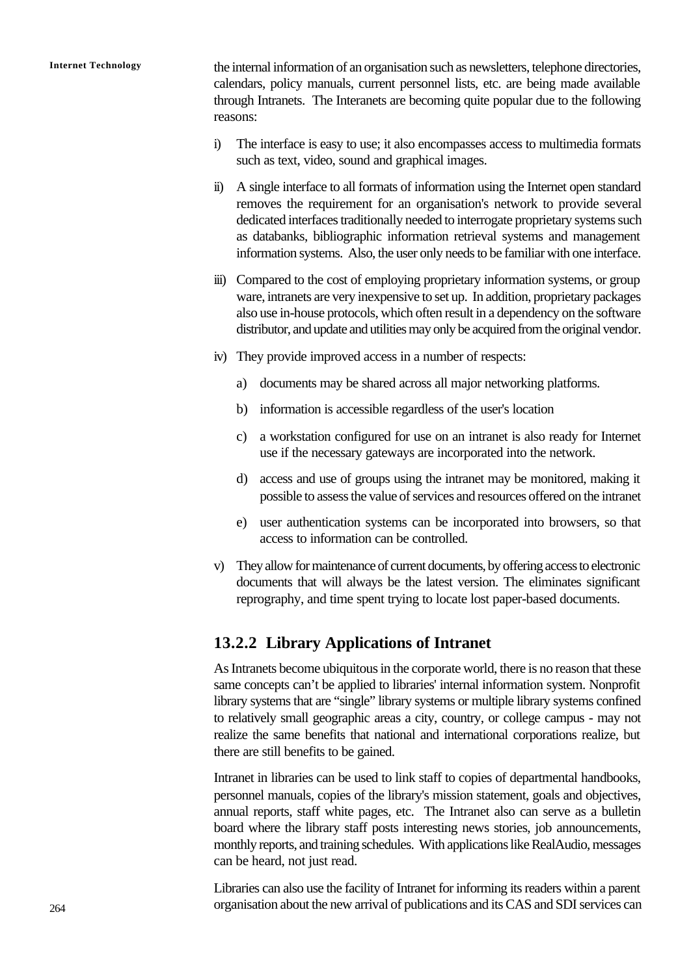**Internet Technology** the internal information of an organisation such as newsletters, telephone directories, calendars, policy manuals, current personnel lists, etc. are being made available through Intranets. The Interanets are becoming quite popular due to the following reasons:

- i) The interface is easy to use; it also encompasses access to multimedia formats such as text, video, sound and graphical images.
- ii) A single interface to all formats of information using the Internet open standard removes the requirement for an organisation's network to provide several dedicated interfaces traditionally needed to interrogate proprietary systems such as databanks, bibliographic information retrieval systems and management information systems. Also, the user only needs to be familiar with one interface.
- iii) Compared to the cost of employing proprietary information systems, or group ware, intranets are very inexpensive to set up. In addition, proprietary packages also use in-house protocols, which often result in a dependency on the software distributor, and update and utilities may only be acquired from the original vendor.
- iv) They provide improved access in a number of respects:
	- a) documents may be shared across all major networking platforms.
	- b) information is accessible regardless of the user's location
	- c) a workstation configured for use on an intranet is also ready for Internet use if the necessary gateways are incorporated into the network.
	- d) access and use of groups using the intranet may be monitored, making it possible to assess the value of services and resources offered on the intranet
	- e) user authentication systems can be incorporated into browsers, so that access to information can be controlled.
- v) They allow for maintenance of current documents, by offering access to electronic documents that will always be the latest version. The eliminates significant reprography, and time spent trying to locate lost paper-based documents.

#### **13.2.2 Library Applications of Intranet**

As Intranets become ubiquitous in the corporate world, there is no reason that these same concepts can't be applied to libraries' internal information system. Nonprofit library systems that are "single" library systems or multiple library systems confined to relatively small geographic areas a city, country, or college campus - may not realize the same benefits that national and international corporations realize, but there are still benefits to be gained.

Intranet in libraries can be used to link staff to copies of departmental handbooks, personnel manuals, copies of the library's mission statement, goals and objectives, annual reports, staff white pages, etc. The Intranet also can serve as a bulletin board where the library staff posts interesting news stories, job announcements, monthly reports, and training schedules. With applications like RealAudio, messages can be heard, not just read.

Libraries can also use the facility of Intranet for informing its readers within a parent organisation about the new arrival of publications and its CAS and SDI services can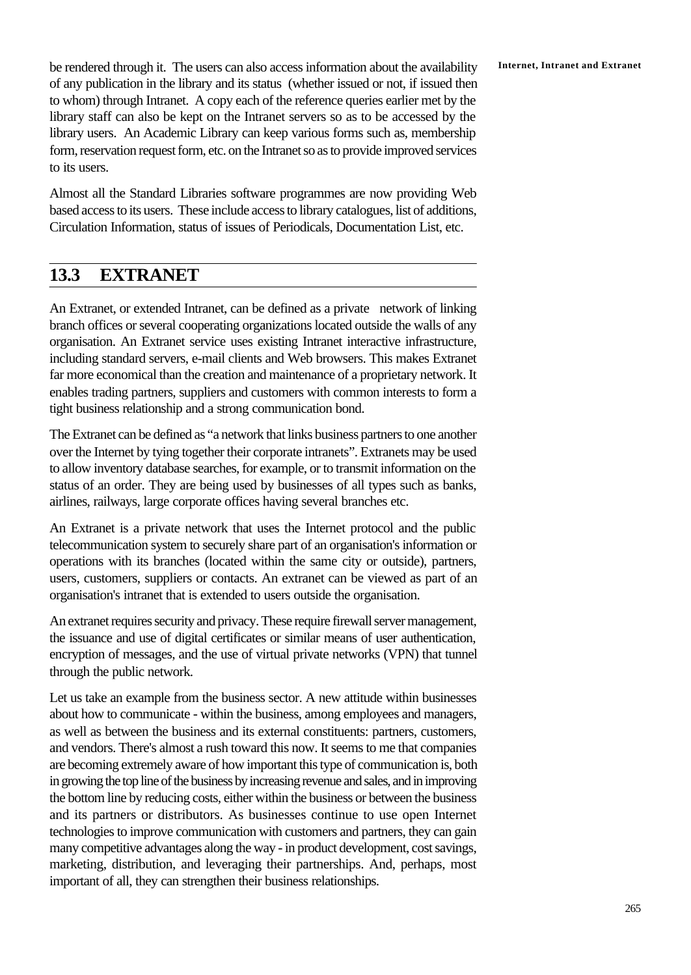be rendered through it. The users can also access information about the availability **Internet, Intranet and Extranet** of any publication in the library and its status (whether issued or not, if issued then to whom) through Intranet. A copy each of the reference queries earlier met by the library staff can also be kept on the Intranet servers so as to be accessed by the library users. An Academic Library can keep various forms such as, membership form, reservation request form, etc. on the Intranet so as to provide improved services to its users.

Almost all the Standard Libraries software programmes are now providing Web based access to its users. These include access to library catalogues, list of additions, Circulation Information, status of issues of Periodicals, Documentation List, etc.

## **13.3 EXTRANET**

An Extranet, or extended Intranet, can be defined as a private network of linking branch offices or several cooperating organizations located outside the walls of any organisation. An Extranet service uses existing Intranet interactive infrastructure, including standard servers, e-mail clients and Web browsers. This makes Extranet far more economical than the creation and maintenance of a proprietary network. It enables trading partners, suppliers and customers with common interests to form a tight business relationship and a strong communication bond.

The Extranet can be defined as "a network that links business partners to one another over the Internet by tying together their corporate intranets". Extranets may be used to allow inventory database searches, for example, or to transmit information on the status of an order. They are being used by businesses of all types such as banks, airlines, railways, large corporate offices having several branches etc.

An Extranet is a private network that uses the Internet protocol and the public telecommunication system to securely share part of an organisation's information or operations with its branches (located within the same city or outside), partners, users, customers, suppliers or contacts. An extranet can be viewed as part of an organisation's intranet that is extended to users outside the organisation.

An extranet requires security and privacy. These require firewall server management, the issuance and use of digital certificates or similar means of user authentication, encryption of messages, and the use of virtual private networks (VPN) that tunnel through the public network.

Let us take an example from the business sector. A new attitude within businesses about how to communicate - within the business, among employees and managers, as well as between the business and its external constituents: partners, customers, and vendors. There's almost a rush toward this now. It seems to me that companies are becoming extremely aware of how important this type of communication is, both in growing the top line of the business by increasing revenue and sales, and in improving the bottom line by reducing costs, either within the business or between the business and its partners or distributors. As businesses continue to use open Internet technologies to improve communication with customers and partners, they can gain many competitive advantages along the way - in product development, cost savings, marketing, distribution, and leveraging their partnerships. And, perhaps, most important of all, they can strengthen their business relationships.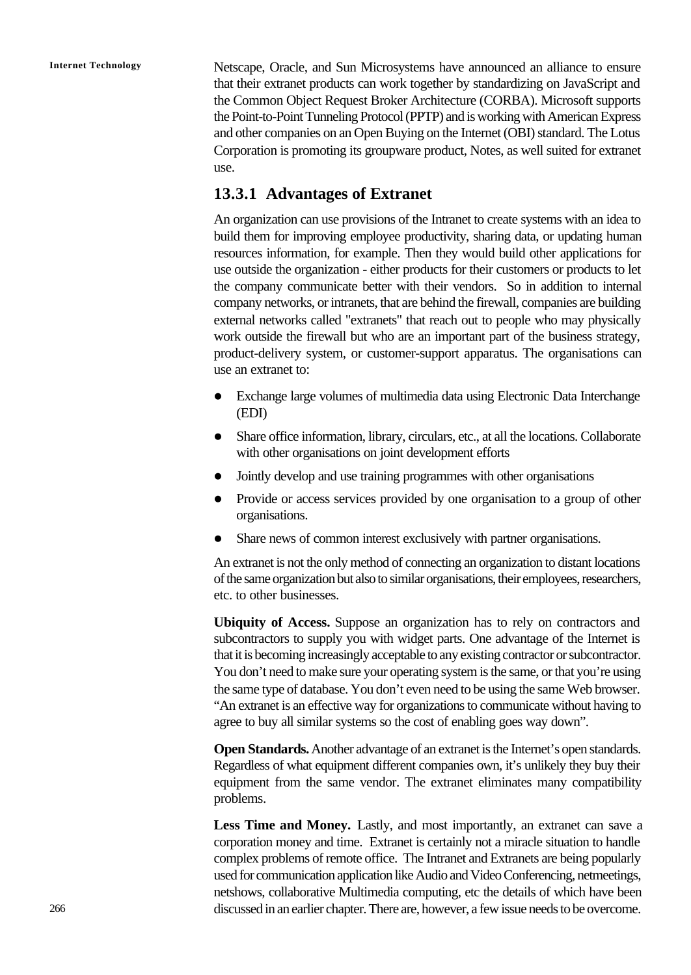**Internet Technology** Netscape, Oracle, and Sun Microsystems have announced an alliance to ensure that their extranet products can work together by standardizing on JavaScript and the Common Object Request Broker Architecture (CORBA). Microsoft supports the Point-to-Point Tunneling Protocol (PPTP) and is working with American Express and other companies on an Open Buying on the Internet (OBI) standard. The Lotus Corporation is promoting its groupware product, Notes, as well suited for extranet use.

#### **13.3.1 Advantages of Extranet**

An organization can use provisions of the Intranet to create systems with an idea to build them for improving employee productivity, sharing data, or updating human resources information, for example. Then they would build other applications for use outside the organization - either products for their customers or products to let the company communicate better with their vendors. So in addition to internal company networks, or intranets, that are behind the firewall, companies are building external networks called "extranets" that reach out to people who may physically work outside the firewall but who are an important part of the business strategy, product-delivery system, or customer-support apparatus. The organisations can use an extranet to:

- Exchange large volumes of multimedia data using Electronic Data Interchange (EDI)
- Share office information, library, circulars, etc., at all the locations. Collaborate with other organisations on joint development efforts
- Jointly develop and use training programmes with other organisations
- Provide or access services provided by one organisation to a group of other organisations.
- Share news of common interest exclusively with partner organisations.

An extranet is not the only method of connecting an organization to distant locations of the same organization but also to similar organisations, their employees, researchers, etc. to other businesses.

**Ubiquity of Access.** Suppose an organization has to rely on contractors and subcontractors to supply you with widget parts. One advantage of the Internet is that it is becoming increasingly acceptable to any existing contractor or subcontractor. You don't need to make sure your operating system is the same, or that you're using the same type of database. You don't even need to be using the same Web browser. "An extranet is an effective way for organizations to communicate without having to agree to buy all similar systems so the cost of enabling goes way down".

**Open Standards.** Another advantage of an extranet is the Internet's open standards. Regardless of what equipment different companies own, it's unlikely they buy their equipment from the same vendor. The extranet eliminates many compatibility problems.

Less Time and Money. Lastly, and most importantly, an extranet can save a corporation money and time. Extranet is certainly not a miracle situation to handle complex problems of remote office. The Intranet and Extranets are being popularly used for communication application like Audio and Video Conferencing, netmeetings, netshows, collaborative Multimedia computing, etc the details of which have been discussed in an earlier chapter. There are, however, a few issue needs to be overcome.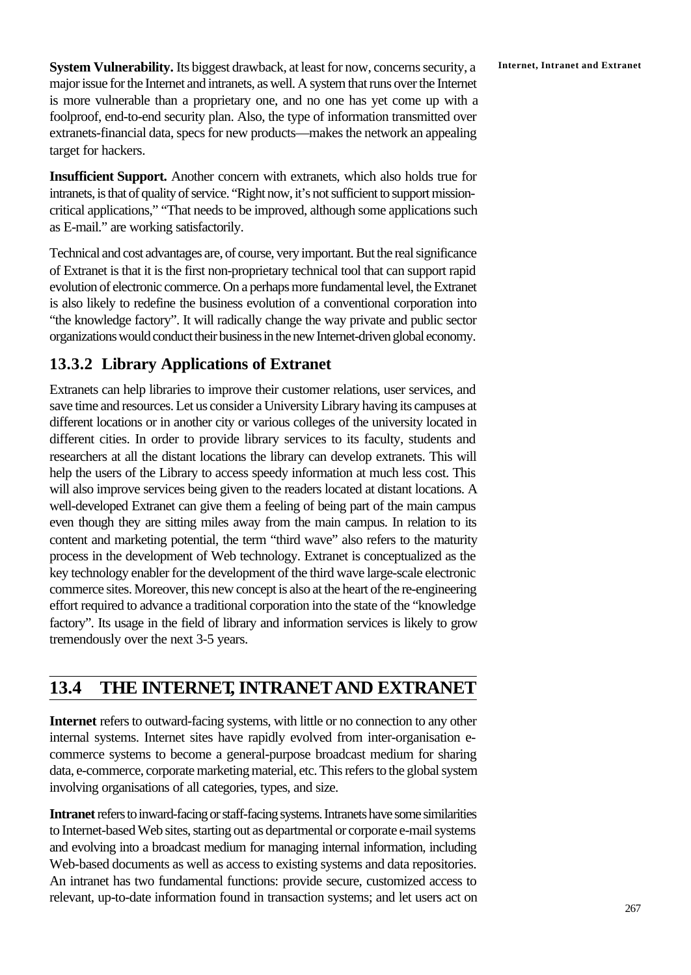**System Vulnerability.** Its biggest drawback, at least for now, concerns security, a Internet, Intranet and Extranet major issue for the Internet and intranets, as well. A system that runs over the Internet is more vulnerable than a proprietary one, and no one has yet come up with a foolproof, end-to-end security plan. Also, the type of information transmitted over extranets-financial data, specs for new products—makes the network an appealing target for hackers.

**Insufficient Support.** Another concern with extranets, which also holds true for intranets, is that of quality of service. "Right now, it's not sufficient to support missioncritical applications," "That needs to be improved, although some applications such as E-mail." are working satisfactorily.

Technical and cost advantages are, of course, very important. But the real significance of Extranet is that it is the first non-proprietary technical tool that can support rapid evolution of electronic commerce. On a perhaps more fundamental level, the Extranet is also likely to redefine the business evolution of a conventional corporation into "the knowledge factory". It will radically change the way private and public sector organizations would conduct their business in the new Internet-driven global economy.

## **13.3.2 Library Applications of Extranet**

Extranets can help libraries to improve their customer relations, user services, and save time and resources. Let us consider a University Library having its campuses at different locations or in another city or various colleges of the university located in different cities. In order to provide library services to its faculty, students and researchers at all the distant locations the library can develop extranets. This will help the users of the Library to access speedy information at much less cost. This will also improve services being given to the readers located at distant locations. A well-developed Extranet can give them a feeling of being part of the main campus even though they are sitting miles away from the main campus. In relation to its content and marketing potential, the term "third wave" also refers to the maturity process in the development of Web technology. Extranet is conceptualized as the key technology enabler for the development of the third wave large-scale electronic commerce sites. Moreover, this new concept is also at the heart of the re-engineering effort required to advance a traditional corporation into the state of the "knowledge factory". Its usage in the field of library and information services is likely to grow tremendously over the next 3-5 years.

## **13.4 THE INTERNET, INTRANETAND EXTRANET**

**Internet** refers to outward-facing systems, with little or no connection to any other internal systems. Internet sites have rapidly evolved from inter-organisation ecommerce systems to become a general-purpose broadcast medium for sharing data, e-commerce, corporate marketing material, etc. This refers to the global system involving organisations of all categories, types, and size.

**Intranet** refers to inward-facing or staff-facing systems. Intranets have some similarities to Internet-based Web sites, starting out as departmental or corporate e-mail systems and evolving into a broadcast medium for managing internal information, including Web-based documents as well as access to existing systems and data repositories. An intranet has two fundamental functions: provide secure, customized access to relevant, up-to-date information found in transaction systems; and let users act on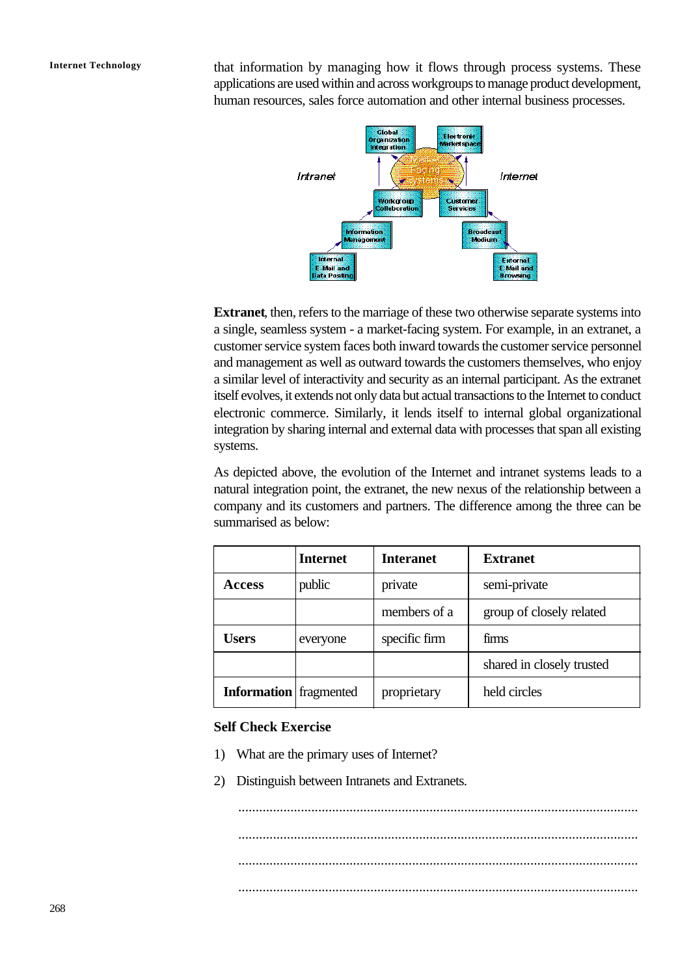**Internet Technology** that information by managing how it flows through process systems. These applications are used within and across workgroups to manage product development, human resources, sales force automation and other internal business processes.



**Extranet**, then, refers to the marriage of these two otherwise separate systems into a single, seamless system - a market-facing system. For example, in an extranet, a customer service system faces both inward towards the customer service personnel and management as well as outward towards the customers themselves, who enjoy a similar level of interactivity and security as an internal participant. As the extranet itself evolves, it extends not only data but actual transactions to the Internet to conduct electronic commerce. Similarly, it lends itself to internal global organizational integration by sharing internal and external data with processes that span all existing systems.

As depicted above, the evolution of the Internet and intranet systems leads to a natural integration point, the extranet, the new nexus of the relationship between a company and its customers and partners. The difference among the three can be summarised as below:

|                               | <b>Internet</b> | <b>Interanet</b> | <b>Extranet</b>           |  |
|-------------------------------|-----------------|------------------|---------------------------|--|
| <b>Access</b>                 | public          | private          | semi-private              |  |
|                               |                 | members of a     | group of closely related  |  |
| <b>Users</b>                  | everyone        | specific firm    | firms                     |  |
|                               |                 |                  | shared in closely trusted |  |
| <b>Information</b> fragmented |                 | proprietary      | held circles              |  |

#### **Self Check Exercise**

- 1) What are the primary uses of Internet?
- 2) Distinguish between Intranets and Extranets.

................................................................................................................... ................................................................................................................... ................................................................................................................... ...................................................................................................................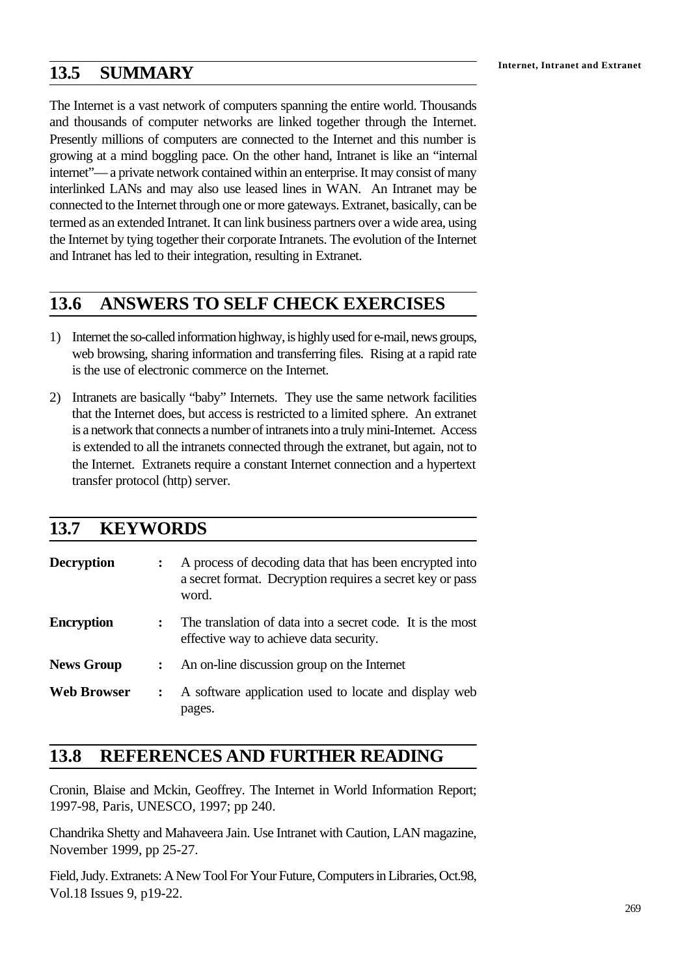The Internet is a vast network of computers spanning the entire world. Thousands and thousands of computer networks are linked together through the Internet. Presently millions of computers are connected to the Internet and this number is growing at a mind boggling pace. On the other hand, Intranet is like an "internal internet"— a private network contained within an enterprise. It may consist of many interlinked LANs and may also use leased lines in WAN. An Intranet may be connected to the Internet through one or more gateways. Extranet, basically, can be termed as an extended Intranet. It can link business partners over a wide area, using the Internet by tying together their corporate Intranets. The evolution of the Internet and Intranet has led to their integration, resulting in Extranet.

## **13.6 ANSWERS TO SELF CHECK EXERCISES**

- 1) Internet the so-called information highway, is highly used for e-mail, news groups, web browsing, sharing information and transferring files. Rising at a rapid rate is the use of electronic commerce on the Internet.
- 2) Intranets are basically "baby" Internets. They use the same network facilities that the Internet does, but access is restricted to a limited sphere. An extranet is a network that connects a number of intranets into a truly mini-Internet. Access is extended to all the intranets connected through the extranet, but again, not to the Internet. Extranets require a constant Internet connection and a hypertext transfer protocol (http) server.

## **13.7 KEYWORDS**

| <b>Decryption</b>  |              | A process of decoding data that has been encrypted into<br>a secret format. Decryption requires a secret key or pass<br>word. |  |
|--------------------|--------------|-------------------------------------------------------------------------------------------------------------------------------|--|
| <b>Encryption</b>  |              | The translation of data into a secret code. It is the most<br>effective way to achieve data security.                         |  |
| <b>News Group</b>  | $\mathbf{r}$ | An on-line discussion group on the Internet                                                                                   |  |
| <b>Web Browser</b> |              | A software application used to locate and display web<br>pages.                                                               |  |

## **13.8 REFERENCES AND FURTHER READING**

Cronin, Blaise and Mckin, Geoffrey. The Internet in World Information Report; 1997-98, Paris, UNESCO, 1997; pp 240.

Chandrika Shetty and Mahaveera Jain. Use Intranet with Caution, LAN magazine, November 1999, pp 25-27.

Field, Judy. Extranets: A New Tool For Your Future, Computers in Libraries, Oct.98, Vol.18 Issues 9, p19-22.